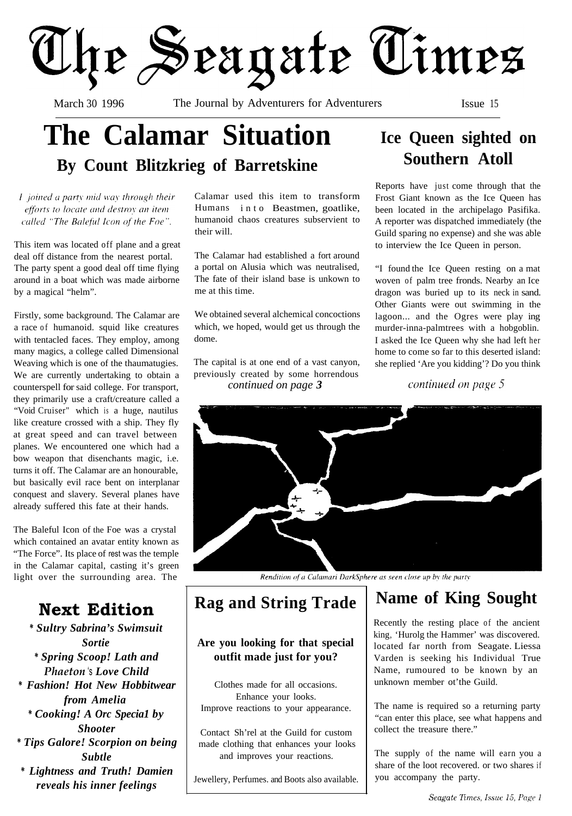

March 30 1996 The Journal by Adventurers for Adventurers Issue 15

# **The Calamar Situation By Count Blitzkrieg of Barretskine**

I joined a party mid way through their efforts to locate and destroy an item called "The Baleful Icon of the Foe".

This item was located off plane and a great deal off distance from the nearest portal. The party spent a good deal off time flying around in a boat which was made airborne by a magical "helm".

Firstly, some background. The Calamar are a race of humanoid. squid like creatures with tentacled faces. They employ, among many magics, a college called Dimensional Weaving which is one of the thaumatugies. We are currently undertaking to obtain a counterspell for said college. For transport, they primarily use a craft/creature called a "Void Cruiser" which is a huge, nautilus like creature crossed with a ship. They fly at great speed and can travel between planes. We encountered one which had a bow weapon that disenchants magic, i.e. turns it off. The Calamar are an honourable, but basically evil race bent on interplanar conquest and slavery. Several planes have already suffered this fate at their hands.

The Baleful Icon of the Foe was a crystal which contained an avatar entity known as "The Force". Its place of rest was the temple in the Calamar capital, casting it's green light over the surrounding area. The

### **Next Edition**

*\* Sultry Sabrina's Swimsuit Sortie \* Spring Scoop! Lath and Phaeton* 's *Love Child \* Fashion! Hot New Hobbitwear from Amelia \* Cooking! A Orc Specia1 by Shooter \* Tips Galore! Scorpion on being Subtle \* Lightness and Truth! Damien reveals his inner feelings*

Calamar used this item to transform Humans into Beastmen, goatlike, humanoid chaos creatures subservient to their will.

The Calamar had established a fort around a portal on Alusia which was neutralised, The fate of their island base is unkown to me at this time.

We obtained several alchemical concoctions which, we hoped, would get us through the dome.

The capital is at one end of a vast canyon, previously created by some horrendous *continued on page 3*

### **Ice Queen sighted on Southern Atoll**

Reports have just come through that the Frost Giant known as the Ice Queen has been located in the archipelago Pasifika. A reporter was dispatched immediately (the Guild sparing no expense) and she was able to interview the Ice Queen in person.

"I found the Ice Queen resting on a mat woven of palm tree fronds. Nearby an Ice dragon was buried up to its neck in sand. Other Giants were out swimming in the lagoon... and the Ogres were play ing murder-inna-palmtrees with a hobgoblin. I asked the Ice Queen why she had left her home to come so far to this deserted island: she replied 'Are you kidding'? Do you think

continued on page 5



Rendition of a Calamari DarkSphere as seen close up by the party

#### **Are you looking for that special outfit made just for you?**

Clothes made for all occasions. Enhance your looks. Improve reactions to your appearance.

Contact Sh'rel at the Guild for custom made clothing that enhances your looks and improves your reactions.

Jewellery, Perfumes. and Boots also available.

## **Rag and String Trade Name of King Sought**

Recently the resting place of the ancient king, 'Hurolg the Hammer' was discovered. located far north from Seagate. Liessa Varden is seeking his Individual True Name, rumoured to be known by an unknown member ot'the Guild.

The name is required so a returning party "can enter this place, see what happens and collect the treasure there."

The supply of the name will earn you a share of the loot recovered. or two shares if you accompany the party.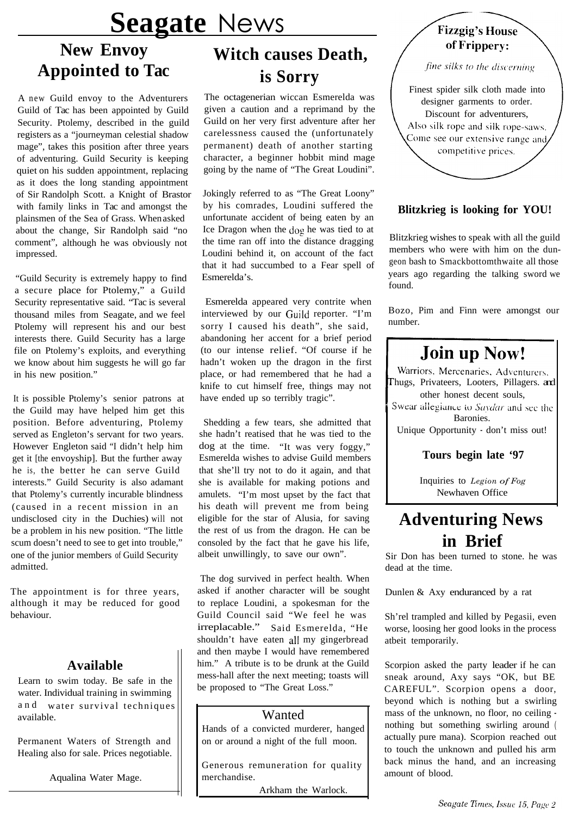# **Seagate** News

### **New Envoy Appointed to Tac**

A new Guild envoy to the Adventurers Guild of Tac has been appointed by Guild Security. Ptolemy, described in the guild registers as a "journeyman celestial shadow mage", takes this position after three years of adventuring. Guild Security is keeping quiet on his sudden appointment, replacing as it does the long standing appointment of Sir Randolph Scott. a Knight of Brastor with family links in Tac and amongst the plainsmen of the Sea of Grass. When asked about the change, Sir Randolph said "no comment", although he was obviously not impressed.

"Guild Security is extremely happy to find a secure place for Ptolemy," a Guild Security representative said. "Tac is several thousand miles from Seagate, and we feel Ptolemy will represent his and our best interests there. Guild Security has a large file on Ptolemy's exploits, and everything we know about him suggests he will go far in his new position."

It is possible Ptolemy's senior patrons at the Guild may have helped him get this position. Before adventuring, Ptolemy served as Engleton's servant for two years. However Engleton said "I didn't help him get it [the envoyship]. But the further away he is, the better he can serve Guild interests." Guild Security is also adamant that Ptolemy's currently incurable blindness (caused in a recent mission in an undisclosed city in the Duchies) will not be a problem in his new position. "The little scum doesn't need to see to get into trouble," one of the junior members of Guild Security admitted.

The appointment is for three years, although it may be reduced for good behaviour.

#### **Available**

Learn to swim today. Be safe in the water. Individual training in swimming and water survival techniques available.

Permanent Waters of Strength and Healing also for sale. Prices negotiable.

Aqualina Water Mage.

## **Witch causes Death, is Sorry**

The octagenerian wiccan Esmerelda was given a caution and a reprimand by the Guild on her very first adventure after her carelessness caused the (unfortunately permanent) death of another starting character, a beginner hobbit mind mage going by the name of "The Great Loudini".

Jokingly referred to as "The Great Loony" by his comrades, Loudini suffered the unfortunate accident of being eaten by an Ice Dragon when the dog he was tied to at the time ran off into the distance dragging Loudini behind it, on account of the fact that it had succumbed to a Fear spell of Esmerelda's.

Esmerelda appeared very contrite when interviewed by our Guild reporter. "I'm sorry I caused his death", she said, abandoning her accent for a brief period (to our intense relief. "Of course if he hadn't woken up the dragon in the first place, or had remembered that he had a knife to cut himself free, things may not have ended up so terribly tragic".

Shedding a few tears, she admitted that she hadn't reatised that he was tied to the dog at the time. "It was very foggy," Esmerelda wishes to advise Guild members that she'll try not to do it again, and that she is available for making potions and amulets. "I'm most upset by the fact that his death will prevent me from being eligible for the star of Alusia, for saving the rest of us from the dragon. He can be consoled by the fact that he gave his life, albeit unwillingly, to save our own".

The dog survived in perfect health. When asked if another character will be sought to replace Loudini, a spokesman for the Guild Council said "We feel he was irreplacable." Said Esmerelda, "He shouldn't have eaten all my gingerbread and then maybe I would have remembered him." A tribute is to be drunk at the Guild mess-hall after the next meeting; toasts will be proposed to "The Great Loss."

#### Wanted

Hands of a convicted murderer, hanged on or around a night of the full moon.

Generous remuneration for quality merchandise.

Arkham the Warlock.

#### **Fizzgig's House** of Frippery:

fine silks to the discerning

Finest spider silk cloth made into designer garments to order. Discount for adventurers, Also silk rope and silk rope-saws. Come see our extensive range and, competitive prices.

#### **Blitzkrieg is looking for YOU!**

Blitzkrieg wishes to speak with all the guild members who were with him on the dungeon bash to Smackbottomthwaite all those years ago regarding the talking sword we found.

Bozo, Pim and Finn were amongst our number.

### **Join up Now!**

Warriors, Mercenaries, Adventurers, hugs, Privateers, Looters, Pillagers. and other honest decent souls,

Swear allegiance to Saydar and see the Baronies.

Unique Opportunity - don't miss out!

#### **Tours begin late '97**

Inquiries to *Legion of Fog* Newhaven Office

### **Adventuring News in Brief**

Sir Don has been turned to stone. he was dead at the time.

Dunlen & Axy enduranced by a rat

Sh'rel trampled and killed by Pegasii, even worse, loosing her good looks in the process atbeit temporarily.

Scorpion asked the party leader if he can sneak around, Axy says "OK, but BE CAREFUL". Scorpion opens a door, beyond which is nothing but a swirling mass of the unknown, no floor, no ceiling nothing but something swirling around ( actually pure mana). Scorpion reached out to touch the unknown and pulled his arm back minus the hand, and an increasing amount of blood.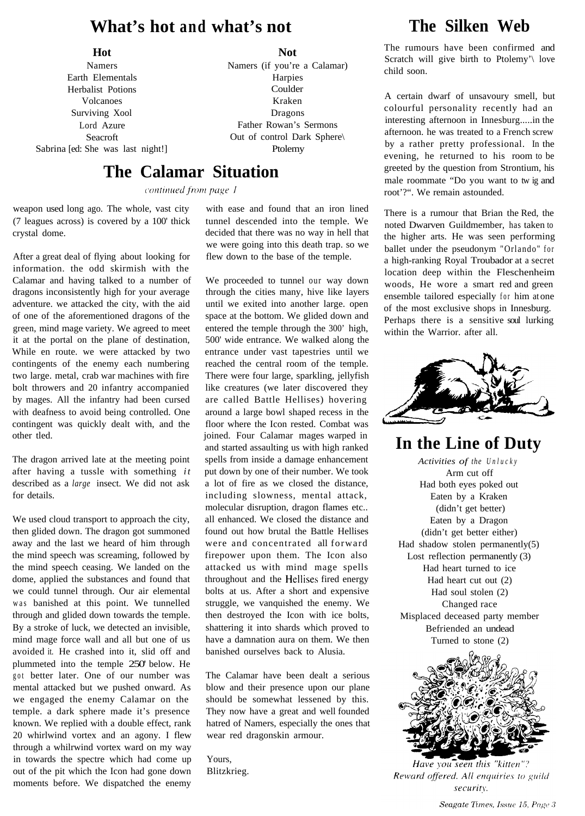#### **What's hot and what's not**

#### **Hot**

Namers Earth Elementals Herbalist Potions Volcanoes Surviving Xool Lord Azure Seacroft Sabrina [ed: She was last night!] Ptolemy

**Not**

Namers (if you're a Calamar) Harpies Coulder Kraken Dragons Father Rowan's Sermons Out of control Dark Sphere\

#### **The Calamar Situation**

continued from page 1

weapon used long ago. The whole, vast city (7 leagues across) is covered by a 100' thick crystal dome.

After a great deal of flying about looking for information. the odd skirmish with the Calamar and having talked to a number of dragons inconsistently high for your average adventure. we attacked the city, with the aid of one of the aforementioned dragons of the green, mind mage variety. We agreed to meet it at the portal on the plane of destination, While en route. we were attacked by two contingents of the enemy each numbering two large. metal, crab war machines with fire bolt throwers and 20 infantry accompanied by mages. All the infantry had been cursed with deafness to avoid being controlled. One contingent was quickly dealt with, and the other tled.

The dragon arrived late at the meeting point after having a tussle with something *it* described as a *large* insect. We did not ask for details.

We used cloud transport to approach the city, then glided down. The dragon got summoned away and the last we heard of him through the mind speech was screaming, followed by the mind speech ceasing. We landed on the dome, applied the substances and found that we could tunnel through. Our air elemental was banished at this point. We tunnelled through and glided down towards the temple. By a stroke of luck, we detected an invisible, mind mage force wall and all but one of us avoided it. He crashed into it, slid off and plummeted into the temple 250' below. He got better later. One of our number was mental attacked but we pushed onward. As we engaged the enemy Calamar on the temple. a dark sphere made it's presence known. We replied with a double effect, rank 20 whirlwind vortex and an agony. I flew through a whilrwind vortex ward on my way in towards the spectre which had come up out of the pit which the Icon had gone down moments before. We dispatched the enemy

with ease and found that an iron lined tunnel descended into the temple. We decided that there was no way in hell that we were going into this death trap. so we flew down to the base of the temple.

We proceeded to tunnel our way down through the cities many, hive like layers until we exited into another large. open space at the bottom. We glided down and entered the temple through the 300' high, 500' wide entrance. We walked along the entrance under vast tapestries until we reached the central room of the temple. There were four large, sparkling, jellyfish like creatures (we later discovered they are called Battle Hellises) hovering around a large bowl shaped recess in the floor where the Icon rested. Combat was joined. Four Calamar mages warped in and started assaulting us with high ranked spells from inside a damage enhancement put down by one of their number. We took a lot of fire as we closed the distance, including slowness, mental attack, molecular disruption, dragon flames etc.. all enhanced. We closed the distance and found out how brutal the Battle Hellises were and concentrated all forward firepower upon them. The Icon also attacked us with mind mage spells throughout and the Heliises fired energy bolts at us. After a short and expensive struggle, we vanquished the enemy. We then destroyed the Icon with ice bolts, shattering it into shards which proved to have a damnation aura on them. We then banished ourselves back to Alusia.

The Calamar have been dealt a serious blow and their presence upon our plane should be somewhat lessened by this. They now have a great and well founded hatred of Namers, especially the ones that wear red dragonskin armour.

Yours, Blitzkrieg.

### **The Silken Web**

The rumours have been confirmed and Scratch will give birth to Ptolemy'\ love child soon.

A certain dwarf of unsavoury smell, but colourful personality recently had an interesting afternoon in Innesburg.....in the afternoon. he was treated to a French screw by a rather pretty professional. In the evening, he returned to his room to be greeted by the question from Strontium, his male roommate "Do you want to tw ig and root'?". We remain astounded.

There is a rumour that Brian the Red, the noted Dwarven Guildmember, has taken to the higher arts. He was seen performing ballet under the pseudonym "Orlando" for a high-ranking Royal Troubador at a secret location deep within the Fleschenheim woods, He wore a smart red and green ensemble tailored especially for him at one of the most exclusive shops in Innesburg. Perhaps there is a sensitive soul lurking within the Warrior. after all.



**In the Line of Duty**

*Activities of the Unlucky* Arm cut off Had both eyes poked out Eaten by a Kraken (didn't get better) Eaten by a Dragon (didn't get better either) Had shadow stolen permanently $(5)$ Lost reflection permanently (3) Had heart turned to ice Had heart cut out (2) Had soul stolen (2) Changed race Misplaced deceased party member Befriended an undead Turned to stone (2)



Have you seen this "kitten"? Reward offered. All enquiries to guild security.

Seagate Times, Issue 15, Page 3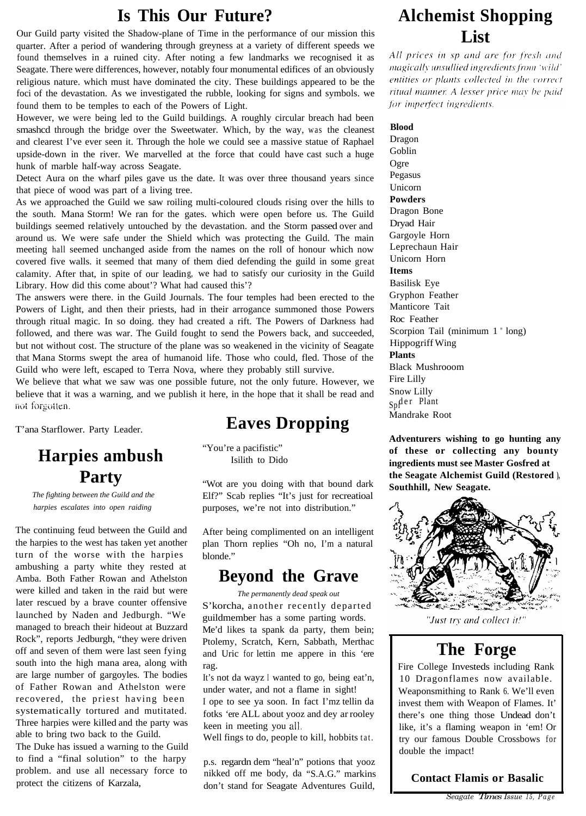#### **Is This Our Future?**

Our Guild party visited the Shadow-plane of Time in the performance of our mission this quarter. After a period of wandering through greyness at a variety of different speeds we found themselves in a ruined city. After noting a few landmarks we recognised it as Seagate. There were differences, however, notably four monumental edifices of an obviously religious nature. which must have dominated the city. These buildings appeared to be the foci of the devastation. As we investigated the rubble, looking for signs and symbols. we found them to be temples to each of the Powers of Light.

However, we were being led to the Guild buildings. A roughly circular breach had been smashcd through the bridge over the Sweetwater. Which, by the way, was the cleanest and clearest I've ever seen it. Through the hole we could see a massive statue of Raphael upside-down in the river. We marvelled at the force that could have cast such a huge hunk of marble half-way across Seagate.

Detect Aura on the wharf piles gave us the date. It was over three thousand years since that piece of wood was part of a living tree.

As we approached the Guild we saw roiling multi-coloured clouds rising over the hills to the south. Mana Storm! We ran for the gates. which were open before us. The Guild buildings seemed relatively untouched by the devastation. and the Storm passed over and around us. We were safe under the Shield which was protecting the Guild. The main meeting hall seemed unchanged aside from the names on the roll of honour which now covered five walls. it seemed that many of them died defending the guild in some great calamity. After that, in spite of our leading, we had to satisfy our curiosity in the Guild Library. How did this come about'? What had caused this'?

The answers were there. in the Guild Journals. The four temples had been erected to the Powers of Light, and then their priests, had in their arrogance summoned those Powers through ritual magic. In so doing. they had created a rift. The Powers of Darkness had followed, and there was war. The Guild fought to send the Powers back, and succeeded, but not without cost. The structure of the plane was so weakened in the vicinity of Seagate that Mana Storms swept the area of humanoid life. Those who could, fled. Those of the Guild who were left, escaped to Terra Nova, where they probably still survive.

We believe that what we saw was one possible future, not the only future. However, we believe that it was a warning, and we publish it here, in the hope that it shall be read and not forgotten.

### **Harpies ambush Party**

*The fighting between the Guild and the harpies escalates into open raiding*

The continuing feud between the Guild and the harpies to the west has taken yet another turn of the worse with the harpies ambushing a party white they rested at Amba. Both Father Rowan and Athelston were killed and taken in the raid but were later rescued by a brave counter offensive launched by Naden and Jedburgh. "We managed to breach their hideout at Buzzard Rock", reports Jedburgh, "they were driven off and seven of them were last seen fying south into the high mana area, along with are large number of gargoyles. The bodies of Father Rowan and Athelston were recovered, the priest having been systematically tortured and mutitated. Three harpies were killed and the party was able to bring two back to the Guild.

The Duke has issued a warning to the Guild to find a "final solution" to the harpy problem. and use all necessary force to protect the citizens of Karzala,

### T'ana Starflower. Party Leader. **Eaves Dropping**

"You're a pacifistic" Isilith to Dido

"Wot are you doing with that bound dark Elf?" Scab replies "It's just for recreatioal purposes, we're not into distribution."

After being complimented on an intelligent plan Thorn replies "Oh no, I'm a natural blonde."

#### **Beyond the Grave**

*The permanently dead speak out*

S'korcha, another recently departed guildmember has a some parting words. Me'd likes ta spank da party, them bein; Ptolemy, Scratch, Kern, Sabbath, Merthac and Uric for lettin me appere in this 'ere rag.

It's not da wayz I wanted to go, being eat'n, under water, and not a flame in sight! I ope to see ya soon. In fact I'mz tellin da fotks 'ere ALL about yooz and dey ar rooley keen in meeting you all.

Well fings to do, people to kill, hobbits tat.

p.s. regardn dem "heal'n" potions that yooz nikked off me body, da "S.A.G." markins don't stand for Seagate Adventures Guild,

### **Alchemist Shopping List**

All prices in sp and are for fresh and magically unsullied ingredients from 'wild' entities or plants collected in the correct ritual manner. A lesser price may be paid for imperfect ingredients.

#### **Blood**

Dragon Goblin Ogre Pegasus Unicorn **Powders** Dragon Bone Dryad Hair Gargoyle Horn Leprechaun Hair Unicorn Horn **Items** Basilisk Eye Gryphon Feather Manticore Tait Roc Feather Scorpion Tail (minimum 1 " long) Hippogriff Wing **Plants** Black Mushrooom Fire Lilly Snow Lilly Sp<sup>der</sup> Plant Mandrake Root

**Adventurers wishing to go hunting any of these or collecting any bounty ingredients must see Master Gosfred at the Seagate Alchemist Guild (Restored ), Southhill, New Seagate.**



"Just try and collect it!"

#### **The Forge**

Fire College Investeds including Rank 10 Dragonflames now available. Weaponsmithing to Rank 6. We'll even invest them with Weapon of Flames. It' there's one thing those Undead don't like, it's a flaming weapon in 'em! Or try our famous Double Crossbows for double the impact!

#### **Contact Flamis or Basalic**